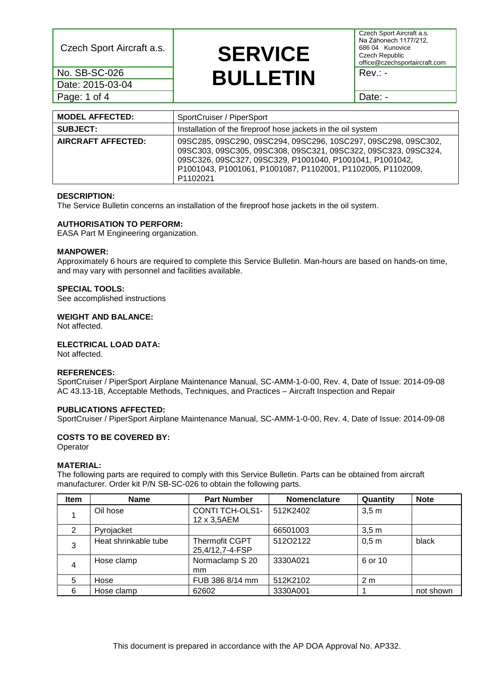Date: 2015-03-04 Page: 1 of 4 Date: -

# Czech Sport Aircraft a.s. **SERVICE No. SB-SC-026**<br>Date: 2015-03-04 **BULLETIN** <sup>Rev.: -</sup>

Czech Sport Aircraft a.s. Na Záhonech 1177/212, 686 04 Kunovice Czech Republic office@czechsportaircraft.com

| <b>MODEL AFFECTED:</b>    |                                                                                                                                                                                                                                                                         |  |  |
|---------------------------|-------------------------------------------------------------------------------------------------------------------------------------------------------------------------------------------------------------------------------------------------------------------------|--|--|
|                           | SportCruiser / PiperSport                                                                                                                                                                                                                                               |  |  |
| <b>SUBJECT:</b>           | Installation of the fireproof hose jackets in the oil system                                                                                                                                                                                                            |  |  |
| <b>AIRCRAFT AFFECTED:</b> | 09SC285, 09SC290, 09SC294, 09SC296, 10SC297, 09SC298, 09SC302,<br>09SC303, 09SC305, 09SC308, 09SC321, 09SC322, 09SC323, 09SC324,<br>09SC326, 09SC327, 09SC329, P1001040, P1001041, P1001042,<br>P1001043, P1001061, P1001087, P1102001, P1102005, P1102009,<br>P1102021 |  |  |

#### **DESCRIPTION:**

The Service Bulletin concerns an installation of the fireproof hose jackets in the oil system.

## **AUTHORISATION TO PERFORM:**

EASA Part M Engineering organization.

#### **MANPOWER:**

Approximately 6 hours are required to complete this Service Bulletin. Man-hours are based on hands-on time, and may vary with personnel and facilities available.

#### **SPECIAL TOOLS:**

See accomplished instructions

#### **WEIGHT AND BALANCE:**

Not affected.

## **ELECTRICAL LOAD DATA:**

Not affected.

## **REFERENCES:**

SportCruiser / PiperSport Airplane Maintenance Manual, SC-AMM-1-0-00, Rev. 4, Date of Issue: 2014-09-08 AC 43.13-1B, Acceptable Methods, Techniques, and Practices – Aircraft Inspection and Repair

## **PUBLICATIONS AFFECTED:**

SportCruiser / PiperSport Airplane Maintenance Manual, SC-AMM-1-0-00, Rev. 4, Date of Issue: 2014-09-08

## **COSTS TO BE COVERED BY:**

Operator

#### **MATERIAL:**

The following parts are required to comply with this Service Bulletin. Parts can be obtained from aircraft manufacturer. Order kit P/N SB-SC-026 to obtain the following parts.

| Item           | <b>Name</b>          | <b>Part Number</b>                       | <b>Nomenclature</b> | Quantity         | <b>Note</b> |
|----------------|----------------------|------------------------------------------|---------------------|------------------|-------------|
|                | Oil hose             | <b>CONTI TCH-OLS1-</b><br>12 x 3,5AEM    | 512K2402            | 3,5m             |             |
| 2              | Pyrojacket           |                                          | 66501003            | 3,5m             |             |
| 3              | Heat shrinkable tube | <b>Thermofit CGPT</b><br>25,4/12,7-4-FSP | 51202122            | 0.5 <sub>m</sub> | black       |
| $\overline{4}$ | Hose clamp           | Normaclamp S 20<br>mm                    | 3330A021            | 6 or 10          |             |
| 5              | Hose                 | FUB 386 8/14 mm                          | 512K2102            | 2 <sub>m</sub>   |             |
| 6              | Hose clamp           | 62602                                    | 3330A001            |                  | not shown   |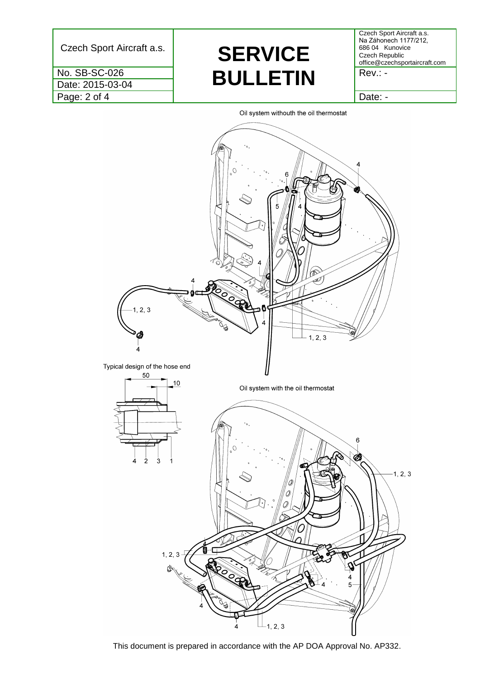Date: 2015-03-04 Page: 2 of 4 Date: -

# Czech Sport Aircraft a.s.<br>
No. SB-SC-026 **DIII ETIN No. SB-SC-026**<br>Date: 2015-03-04 **BULLETIN** <sup>Rev.: -</sup>

Czech Sport Aircraft a.s. Na Záhonech 1177/212, 686 04 Kunovice Czech Republic office@czechsportaircraft.com





This document is prepared in accordance with the AP DOA Approval No. AP332.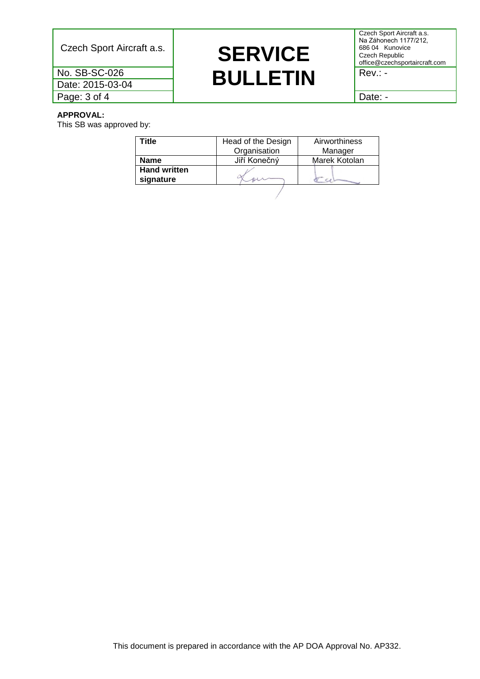# Czech Sport Aircraft a.s.<br>
No. SB-SC-026 **DIII ETIN No. SB-SC-026**<br>Date: 2015-03-04 **BULLETIN** <sup>Rev.: -</sup>

Czech Sport Aircraft a.s. Na Záhonech 1177/212, 686 04 Kunovice Czech Republic office@czechsportaircraft.com

Page: 3 of 4 Date: -

## **APPROVAL:**

This SB was approved by:

Date: 2015-03-04

| Title                            | Head of the Design<br>Organisation | Airworthiness<br>Manager |
|----------------------------------|------------------------------------|--------------------------|
| <b>Name</b>                      | Jiří Konečný                       | Marek Kotolan            |
| <b>Hand written</b><br>signature |                                    |                          |
|                                  |                                    |                          |